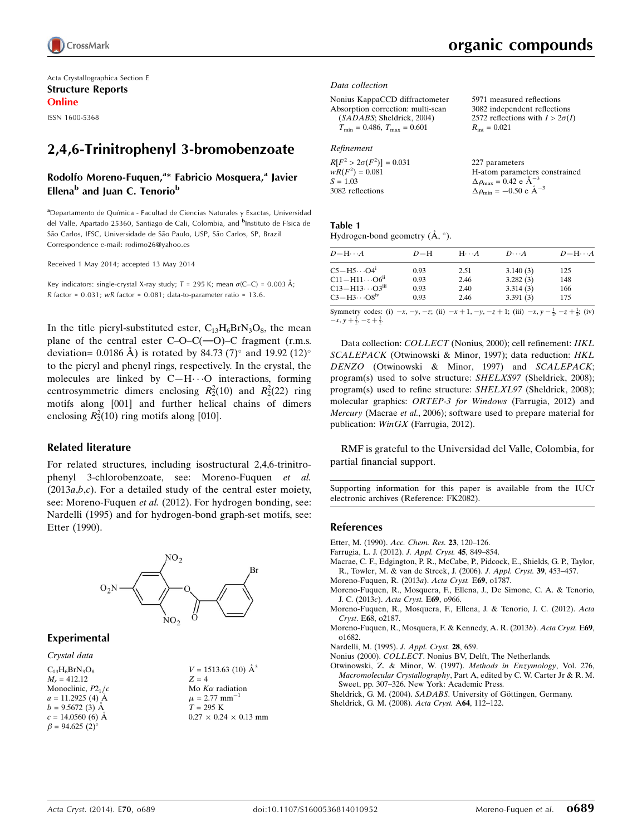

Acta Crystallographica Section E Structure Reports Online

ISSN 1600-5368

## 2,4,6-Trinitrophenyl 3-bromobenzoate

#### Rodolfo Moreno-Fuquen,<sup>a\*</sup> Fabricio Mosquera,<sup>a</sup> Javier Ellena<sup>b</sup> and Juan C. Tenorio<sup>b</sup>

a<br>Departamento de Química - Facultad de Ciencias Naturales y Exactas, Universidad del Valle, Apartado 25360, Santiago de Cali, Colombia, and <sup>b</sup>Instituto de Física de São Carlos, IFSC, Universidade de São Paulo, USP, São Carlos, SP, Brazil Correspondence e-mail: rodimo26@yahoo.es

Received 1 May 2014; accepted 13 May 2014

Key indicators: single-crystal X-ray study;  $T = 295$  K; mean  $\sigma$ (C–C) = 0.003 Å; R factor =  $0.031$ ; wR factor =  $0.081$ ; data-to-parameter ratio =  $13.6$ .

In the title picryl-substituted ester,  $C_{13}H_6BrN_3O_8$ , the mean plane of the central ester  $C-O-C(=O)-C$  fragment (r.m.s. deviation= 0.0186 Å) is rotated by 84.73 (7)° and 19.92 (12)° to the picryl and phenyl rings, respectively. In the crystal, the molecules are linked by  $C-H\cdots O$  interactions, forming centrosymmetric dimers enclosing  $R_2^2(10)$  and  $R_2^2(22)$  ring motifs along [001] and further helical chains of dimers enclosing  $R_2^2(10)$  ring motifs along [010].

#### Related literature

For related structures, including isostructural 2,4,6-trinitrophenyl 3-chlorobenzoate, see: Moreno-Fuquen et al.  $(2013a,b,c)$ . For a detailed study of the central ester moiety, see: Moreno-Fuquen et al. (2012). For hydrogen bonding, see: Nardelli (1995) and for hydrogen-bond graph-set motifs, see: Etter (1990).



#### Experimental

Crystal data

 $C_{13}H_6BrN_3O_8$  $M_r = 412.12$ Monoclinic,  $P2_1/c$  $a = 11.2925$  (4) Å  $b = 9.5672(3)$  Å  $c = 14.0560(6)$  Å  $\beta = 94.625$  (2)<sup>o</sup>

 $V = 1513.63$  (10)  $\AA^3$  $Z = 4$ Mo  $K\alpha$  radiation  $\mu = 2.77$  mm<sup>-1</sup>  $T = 295 K$  $0.27 \times 0.24 \times 0.13$  mm 5971 measured reflections 3082 independent reflections 2572 reflections with  $I > 2\sigma(I)$ 

 $R_{\text{int}} = 0.021$ 

#### Data collection

```
Nonius KappaCCD diffractometer
Absorption correction: multi-scan
   (SADABS; Sheldrick, 2004)
   T_{\text{min}} = 0.486, T_{\text{max}} = 0.601
```
#### Refinement

| $R[F^2 > 2\sigma(F^2)] = 0.031$ | 227 parameters                                                |
|---------------------------------|---------------------------------------------------------------|
| $wR(F^2) = 0.081$               | H-atom parameters constrained                                 |
| $S = 1.03$                      | $\Delta \rho_{\text{max}} = 0.42 \text{ e } \text{\AA}^{-3}$  |
| 3082 reflections                | $\Delta \rho_{\text{min}} = -0.50 \text{ e } \text{\AA}^{-3}$ |

| Table 1 |                                       |  |  |
|---------|---------------------------------------|--|--|
|         | Hydrogen-bond geometry $(A, \circ)$ . |  |  |

| $D$ $\!-\mathrm{H}\cdots A$          | $D-H$ | $H \cdot \cdot \cdot A$ | $D\cdots A$ | $D - H \cdots A$ |
|--------------------------------------|-------|-------------------------|-------------|------------------|
| $C5 - H5 \cdots O4$ <sup>i</sup>     | 0.93  | 2.51                    | 3.140(3)    | 125              |
| $C11 - H11 \cdots O6^{ii}$           | 0.93  | 2.46                    | 3.282(3)    | 148              |
| $C13 - H13 \cdots O3$ <sup>iii</sup> | 0.93  | 2.40                    | 3.314(3)    | 166              |
| $C3 - H3 \cdots O8$ <sup>iv</sup>    | 0.93  | 2.46                    | 3.391(3)    | 175              |

Symmetry codes: (i)  $-x, -y, -z$ ; (ii)  $-x + 1, -y, -z + 1$ ; (iii)  $-x, y - \frac{1}{2}, -z + \frac{1}{2}$ ; (iv)  $-x, y + \frac{1}{2}, -z + \frac{1}{2}$ 

Data collection: COLLECT (Nonius, 2000); cell refinement: HKL SCALEPACK (Otwinowski & Minor, 1997); data reduction: HKL DENZO (Otwinowski & Minor, 1997) and SCALEPACK; program(s) used to solve structure: SHELXS97 (Sheldrick, 2008); program(s) used to refine structure: SHELXL97 (Sheldrick, 2008); molecular graphics: ORTEP-3 for Windows (Farrugia, 2012) and Mercury (Macrae et al., 2006); software used to prepare material for publication: WinGX (Farrugia, 2012).

RMF is grateful to the Universidad del Valle, Colombia, for partial financial support.

Supporting information for this paper is available from the IUCr electronic archives (Reference: FK2082).

#### References

- [Etter, M. \(1990\).](https://scripts.iucr.org/cgi-bin/cr.cgi?rm=pdfbb&cnor=fk2082&bbid=BB1) Acc. Chem. Res. 23, 120–126.
- [Farrugia, L. J. \(2012\).](https://scripts.iucr.org/cgi-bin/cr.cgi?rm=pdfbb&cnor=fk2082&bbid=BB2) J. Appl. Cryst. 45, 849–854.
- [Macrae, C. F., Edgington, P. R., McCabe, P., Pidcock, E., Shields, G. P., Taylor,](https://scripts.iucr.org/cgi-bin/cr.cgi?rm=pdfbb&cnor=fk2082&bbid=BB3) [R., Towler, M. & van de Streek, J. \(2006\).](https://scripts.iucr.org/cgi-bin/cr.cgi?rm=pdfbb&cnor=fk2082&bbid=BB3) J. Appl. Cryst. 39, 453–457.
- [Moreno-Fuquen, R. \(2013](https://scripts.iucr.org/cgi-bin/cr.cgi?rm=pdfbb&cnor=fk2082&bbid=BB4)a). Acta Cryst. E69, o1787.
- [Moreno-Fuquen, R., Mosquera, F., Ellena, J., De Simone, C. A. & Tenorio,](https://scripts.iucr.org/cgi-bin/cr.cgi?rm=pdfbb&cnor=fk2082&bbid=BB5) J. C. (2013c). [Acta Cryst.](https://scripts.iucr.org/cgi-bin/cr.cgi?rm=pdfbb&cnor=fk2082&bbid=BB5) E69, o966.
- [Moreno-Fuquen, R., Mosquera, F., Ellena, J. & Tenorio, J. C. \(2012\).](https://scripts.iucr.org/cgi-bin/cr.cgi?rm=pdfbb&cnor=fk2082&bbid=BB6) Acta Cryst. E6[8, o2187.](https://scripts.iucr.org/cgi-bin/cr.cgi?rm=pdfbb&cnor=fk2082&bbid=BB6)
- [Moreno-Fuquen, R., Mosquera, F. & Kennedy, A. R. \(2013](https://scripts.iucr.org/cgi-bin/cr.cgi?rm=pdfbb&cnor=fk2082&bbid=BB7)b). Acta Cryst. E69, [o1682.](https://scripts.iucr.org/cgi-bin/cr.cgi?rm=pdfbb&cnor=fk2082&bbid=BB7)

[Nardelli, M. \(1995\).](https://scripts.iucr.org/cgi-bin/cr.cgi?rm=pdfbb&cnor=fk2082&bbid=BB8) J. Appl. Cryst. 28, 659.

- Nonius (2000). COLLECT[. Nonius BV, Delft, The Netherlands.](https://scripts.iucr.org/cgi-bin/cr.cgi?rm=pdfbb&cnor=fk2082&bbid=BB9)
- [Otwinowski, Z. & Minor, W. \(1997\).](https://scripts.iucr.org/cgi-bin/cr.cgi?rm=pdfbb&cnor=fk2082&bbid=BB10) Methods in Enzymology, Vol. 276, Macromolecular Crystallography[, Part A, edited by C. W. Carter Jr & R. M.](https://scripts.iucr.org/cgi-bin/cr.cgi?rm=pdfbb&cnor=fk2082&bbid=BB10) [Sweet, pp. 307–326. New York: Academic Press.](https://scripts.iucr.org/cgi-bin/cr.cgi?rm=pdfbb&cnor=fk2082&bbid=BB10)
- Sheldrick, G. M. (2004). SADABS. University of Göttingen, Germany.
- [Sheldrick, G. M. \(2008\).](https://scripts.iucr.org/cgi-bin/cr.cgi?rm=pdfbb&cnor=fk2082&bbid=BB12) Acta Cryst. A64, 112–122.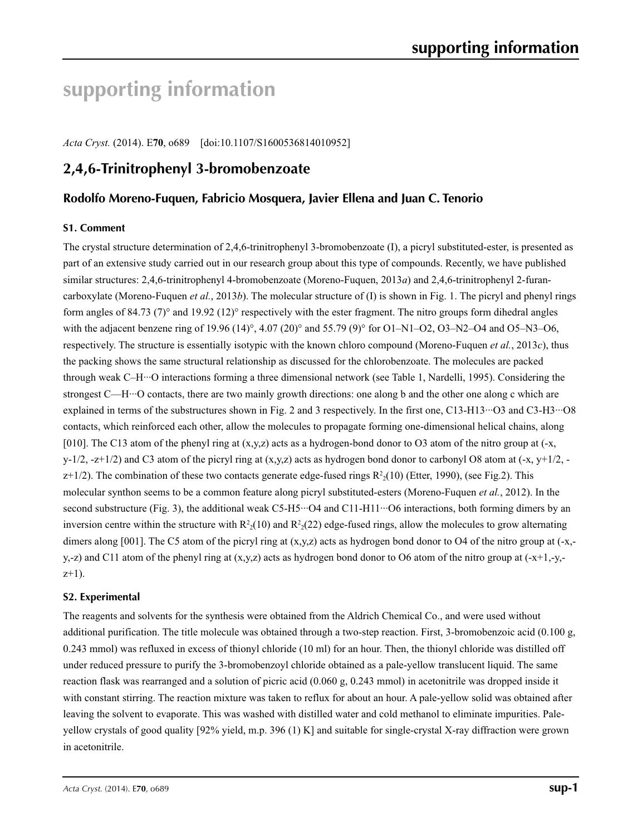# **supporting information**

*Acta Cryst.* (2014). E**70**, o689 [doi:10.1107/S1600536814010952]

## **2,4,6-Trinitrophenyl 3-bromobenzoate**

## **Rodolfo Moreno-Fuquen, Fabricio Mosquera, Javier Ellena and Juan C. Tenorio**

### **S1. Comment**

The crystal structure determination of 2,4,6-trinitrophenyl 3-bromobenzoate (I), a picryl substituted-ester, is presented as part of an extensive study carried out in our research group about this type of compounds. Recently, we have published similar structures: 2,4,6-trinitrophenyl 4-bromobenzoate (Moreno-Fuquen, 2013*a*) and 2,4,6-trinitrophenyl 2-furancarboxylate (Moreno-Fuquen *et al.*, 2013*b*). The molecular structure of (I) is shown in Fig. 1. The picryl and phenyl rings form angles of 84.73 (7)° and 19.92 (12)° respectively with the ester fragment. The nitro groups form dihedral angles with the adjacent benzene ring of 19.96 (14)°, 4.07 (20)° and 55.79 (9)° for O1–N1–O2, O3–N2–O4 and O5–N3–O6, respectively. The structure is essentially isotypic with the known chloro compound (Moreno-Fuquen *et al.*, 2013*c*), thus the packing shows the same structural relationship as discussed for the chlorobenzoate. The molecules are packed through weak C–H···O interactions forming a three dimensional network (see Table 1, Nardelli, 1995). Considering the strongest C—H…O contacts, there are two mainly growth directions: one along b and the other one along c which are explained in terms of the substructures shown in Fig. 2 and 3 respectively. In the first one, C13-H13···O3 and C3-H3···O8 contacts, which reinforced each other, allow the molecules to propagate forming one-dimensional helical chains, along [010]. The C13 atom of the phenyl ring at  $(x,y,z)$  acts as a hydrogen-bond donor to O3 atom of the nitro group at  $(-x,$ y-1/2, -z+1/2) and C3 atom of the picryl ring at  $(x,y,z)$  acts as hydrogen bond donor to carbonyl O8 atom at (-x, y+1/2,  $z+1/2$ ). The combination of these two contacts generate edge-fused rings  $R<sup>2</sup>_{2}(10)$  (Etter, 1990), (see Fig.2). This molecular synthon seems to be a common feature along picryl substituted-esters (Moreno-Fuquen *et al.*, 2012). In the second substructure (Fig. 3), the additional weak C5-H5···O4 and C11-H11···O6 interactions, both forming dimers by an inversion centre within the structure with  $R^2(10)$  and  $R^2(22)$  edge-fused rings, allow the molecules to grow alternating dimers along [001]. The C5 atom of the picryl ring at  $(x,y,z)$  acts as hydrogen bond donor to O4 of the nitro group at  $(-x,$ y,-z) and C11 atom of the phenyl ring at  $(x,y,z)$  acts as hydrogen bond donor to O6 atom of the nitro group at  $(-x+1,-y,-z)$  $z+1$ ).

### **S2. Experimental**

The reagents and solvents for the synthesis were obtained from the Aldrich Chemical Co., and were used without additional purification. The title molecule was obtained through a two-step reaction. First, 3-bromobenzoic acid (0.100 g, 0.243 mmol) was refluxed in excess of thionyl chloride (10 ml) for an hour. Then, the thionyl chloride was distilled off under reduced pressure to purify the 3-bromobenzoyl chloride obtained as a pale-yellow translucent liquid. The same reaction flask was rearranged and a solution of picric acid (0.060 g, 0.243 mmol) in acetonitrile was dropped inside it with constant stirring. The reaction mixture was taken to reflux for about an hour. A pale-yellow solid was obtained after leaving the solvent to evaporate. This was washed with distilled water and cold methanol to eliminate impurities. Paleyellow crystals of good quality [92% yield, m.p. 396 (1) K] and suitable for single-crystal X-ray diffraction were grown in acetonitrile.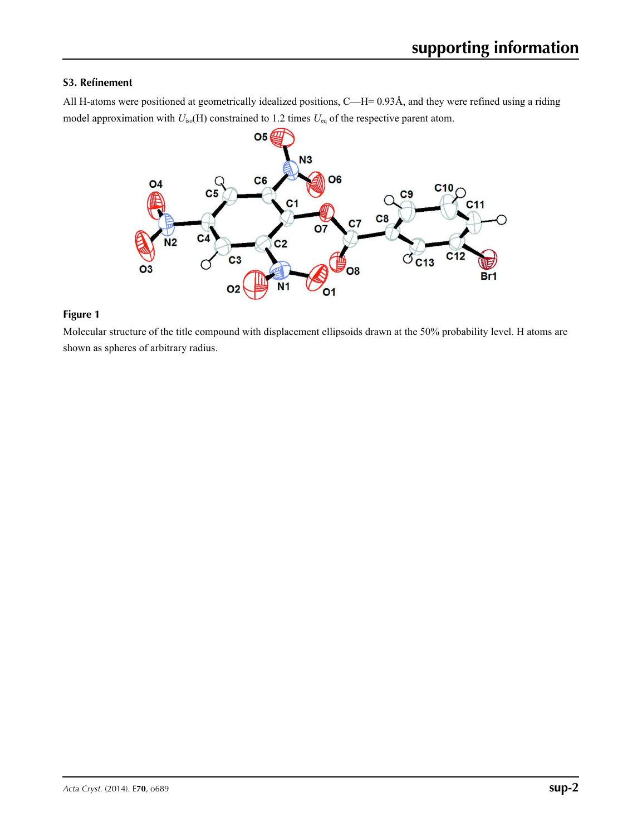### **S3. Refinement**

All H-atoms were positioned at geometrically idealized positions, C—H= 0.93Å, and they were refined using a riding model approximation with  $U_{iso}(H)$  constrained to 1.2 times  $U_{eq}$  of the respective parent atom.



### **Figure 1**

Molecular structure of the title compound with displacement ellipsoids drawn at the 50% probability level. H atoms are shown as spheres of arbitrary radius.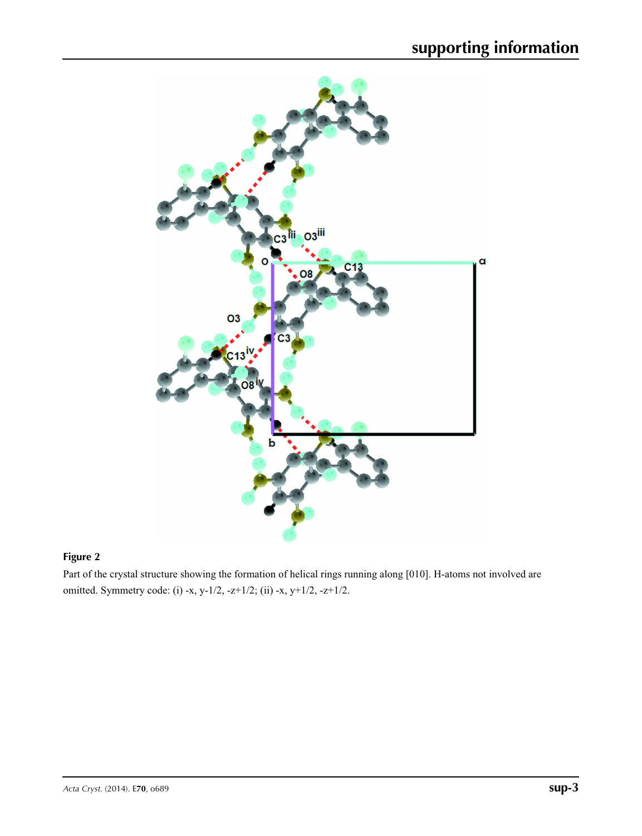

## **Figure 2**

Part of the crystal structure showing the formation of helical rings running along [010]. H-atoms not involved are omitted. Symmetry code: (i) -x, y-1/2, -z+1/2; (ii) -x, y+1/2, -z+1/2.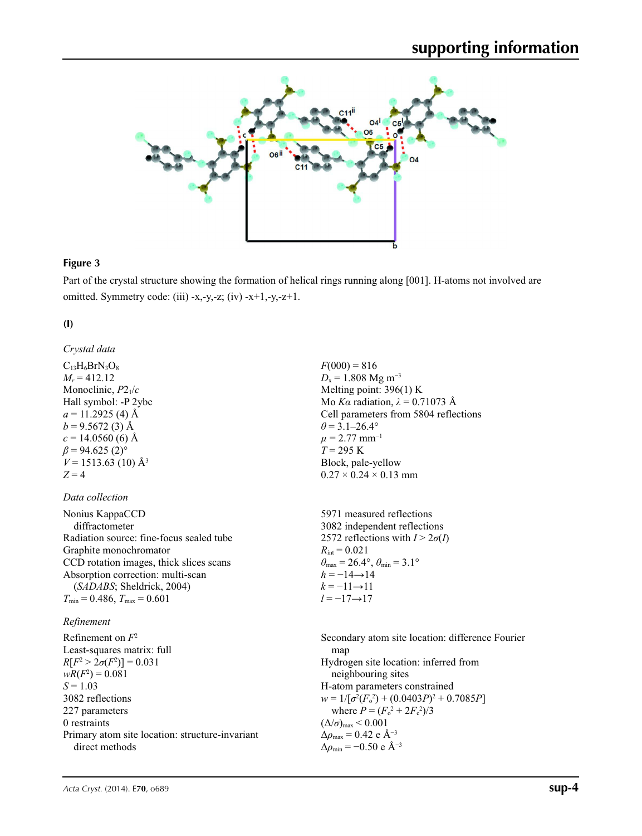

#### **Figure 3**

Part of the crystal structure showing the formation of helical rings running along [001]. H-atoms not involved are omitted. Symmetry code: (iii) -x,-y,-z; (iv) -x+1,-y,-z+1.

> $F(000) = 816$  $D_x = 1.808$  Mg m<sup>-3</sup> Melting point: 396(1) K Mo *Kα* radiation, *λ* = 0.71073 Å Cell parameters from 5804 reflections

 $\theta$  = 3.1–26.4°  $\mu$  = 2.77 mm<sup>-1</sup>  $T = 295 \text{ K}$ 

Block, pale-yellow  $0.27 \times 0.24 \times 0.13$  mm

### **(I)**

*Crystal data*  $C_{13}H_6BrN_3O_8$  $M_r = 412.12$ Monoclinic, *P*21/*c* Hall symbol: -P 2ybc  $a = 11.2925$  (4) Å  $b = 9.5672(3)$  Å  $c = 14.0560$  (6) Å  $\beta$  = 94.625 (2)<sup>o</sup>  $V = 1513.63$  (10) Å<sup>3</sup>  $Z = 4$ 

### *Data collection*

| Nonius KappaCCD                          | 5971 measured reflections                                                  |
|------------------------------------------|----------------------------------------------------------------------------|
|                                          |                                                                            |
| diffractometer                           | 3082 independent reflections                                               |
| Radiation source: fine-focus sealed tube | 2572 reflections with $I > 2\sigma(I)$                                     |
| Graphite monochromator                   | $R_{\text{int}} = 0.021$                                                   |
| CCD rotation images, thick slices scans  | $\theta_{\text{max}} = 26.4^{\circ}$ , $\theta_{\text{min}} = 3.1^{\circ}$ |
| Absorption correction: multi-scan        | $h = -14 \rightarrow 14$                                                   |
| (SADABS; Sheldrick, 2004)                | $k = -11 \rightarrow 11$                                                   |
| $T_{\min}$ = 0.486, $T_{\max}$ = 0.601   | $l = -17 \rightarrow 17$                                                   |

### *Refinement*

Refinement on *F*<sup>2</sup> Least-squares matrix: full  $R[F^2 > 2\sigma(F^2)] = 0.031$  $wR(F^2) = 0.081$  $S = 1.03$ 3082 reflections 227 parameters 0 restraints Primary atom site location: structure-invariant direct methods

Secondary atom site location: difference Fourier map Hydrogen site location: inferred from neighbouring sites H-atom parameters constrained  $w = 1/[\sigma^2 (F_o^2) + (0.0403P)^2 + 0.7085P]$ where  $P = (F_o^2 + 2F_c^2)/3$  $(\Delta/\sigma)_{\text{max}}$  < 0.001 Δ*ρ*max = 0.42 e Å−3  $\Delta\rho_{\text{min}} = -0.50$  e Å<sup>-3</sup>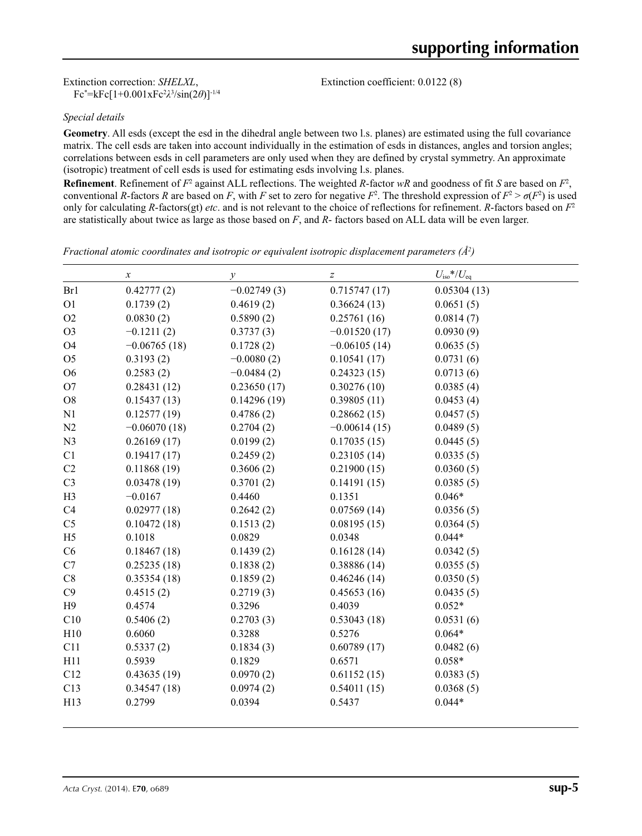Extinction correction: *SHELXL*, Fc\* =kFc[1+0.001xFc2 *λ*3 /sin(2*θ*)]-1/4 Extinction coefficient: 0.0122 (8)

#### *Special details*

**Geometry**. All esds (except the esd in the dihedral angle between two l.s. planes) are estimated using the full covariance matrix. The cell esds are taken into account individually in the estimation of esds in distances, angles and torsion angles; correlations between esds in cell parameters are only used when they are defined by crystal symmetry. An approximate (isotropic) treatment of cell esds is used for estimating esds involving l.s. planes.

**Refinement**. Refinement of  $F^2$  against ALL reflections. The weighted R-factor wR and goodness of fit *S* are based on  $F^2$ , conventional *R*-factors *R* are based on *F*, with *F* set to zero for negative  $F^2$ . The threshold expression of  $F^2 > \sigma(F^2)$  is used only for calculating *R*-factors(gt) *etc*. and is not relevant to the choice of reflections for refinement. *R*-factors based on *F*<sup>2</sup> are statistically about twice as large as those based on *F*, and *R*- factors based on ALL data will be even larger.

*Fractional atomic coordinates and isotropic or equivalent isotropic displacement parameters (Å<sup>2</sup>)* 

|                | $\boldsymbol{x}$ | $\mathcal{Y}$ | $\boldsymbol{Z}$ | $U_{\rm iso}$ */ $U_{\rm eq}$ |  |
|----------------|------------------|---------------|------------------|-------------------------------|--|
| Br1            | 0.42777(2)       | $-0.02749(3)$ | 0.715747(17)     | 0.05304(13)                   |  |
| O <sub>1</sub> | 0.1739(2)        | 0.4619(2)     | 0.36624(13)      | 0.0651(5)                     |  |
| O2             | 0.0830(2)        | 0.5890(2)     | 0.25761(16)      | 0.0814(7)                     |  |
| O <sub>3</sub> | $-0.1211(2)$     | 0.3737(3)     | $-0.01520(17)$   | 0.0930(9)                     |  |
| <b>O4</b>      | $-0.06765(18)$   | 0.1728(2)     | $-0.06105(14)$   | 0.0635(5)                     |  |
| O <sub>5</sub> | 0.3193(2)        | $-0.0080(2)$  | 0.10541(17)      | 0.0731(6)                     |  |
| O <sub>6</sub> | 0.2583(2)        | $-0.0484(2)$  | 0.24323(15)      | 0.0713(6)                     |  |
| O <sub>7</sub> | 0.28431(12)      | 0.23650(17)   | 0.30276(10)      | 0.0385(4)                     |  |
| O <sub>8</sub> | 0.15437(13)      | 0.14296(19)   | 0.39805(11)      | 0.0453(4)                     |  |
| N1             | 0.12577(19)      | 0.4786(2)     | 0.28662(15)      | 0.0457(5)                     |  |
| N <sub>2</sub> | $-0.06070(18)$   | 0.2704(2)     | $-0.00614(15)$   | 0.0489(5)                     |  |
| N <sub>3</sub> | 0.26169(17)      | 0.0199(2)     | 0.17035(15)      | 0.0445(5)                     |  |
| C1             | 0.19417(17)      | 0.2459(2)     | 0.23105(14)      | 0.0335(5)                     |  |
| C <sub>2</sub> | 0.11868(19)      | 0.3606(2)     | 0.21900(15)      | 0.0360(5)                     |  |
| C <sub>3</sub> | 0.03478(19)      | 0.3701(2)     | 0.14191(15)      | 0.0385(5)                     |  |
| H <sub>3</sub> | $-0.0167$        | 0.4460        | 0.1351           | $0.046*$                      |  |
| C4             | 0.02977(18)      | 0.2642(2)     | 0.07569(14)      | 0.0356(5)                     |  |
| C <sub>5</sub> | 0.10472(18)      | 0.1513(2)     | 0.08195(15)      | 0.0364(5)                     |  |
| H <sub>5</sub> | 0.1018           | 0.0829        | 0.0348           | $0.044*$                      |  |
| C6             | 0.18467(18)      | 0.1439(2)     | 0.16128(14)      | 0.0342(5)                     |  |
| C7             | 0.25235(18)      | 0.1838(2)     | 0.38886(14)      | 0.0355(5)                     |  |
| C8             | 0.35354(18)      | 0.1859(2)     | 0.46246(14)      | 0.0350(5)                     |  |
| C9             | 0.4515(2)        | 0.2719(3)     | 0.45653(16)      | 0.0435(5)                     |  |
| H9             | 0.4574           | 0.3296        | 0.4039           | $0.052*$                      |  |
| C10            | 0.5406(2)        | 0.2703(3)     | 0.53043(18)      | 0.0531(6)                     |  |
| H10            | 0.6060           | 0.3288        | 0.5276           | $0.064*$                      |  |
| C11            | 0.5337(2)        | 0.1834(3)     | 0.60789(17)      | 0.0482(6)                     |  |
| H11            | 0.5939           | 0.1829        | 0.6571           | $0.058*$                      |  |
| C12            | 0.43635(19)      | 0.0970(2)     | 0.61152(15)      | 0.0383(5)                     |  |
| C13            | 0.34547(18)      | 0.0974(2)     | 0.54011(15)      | 0.0368(5)                     |  |
| H13            | 0.2799           | 0.0394        | 0.5437           | $0.044*$                      |  |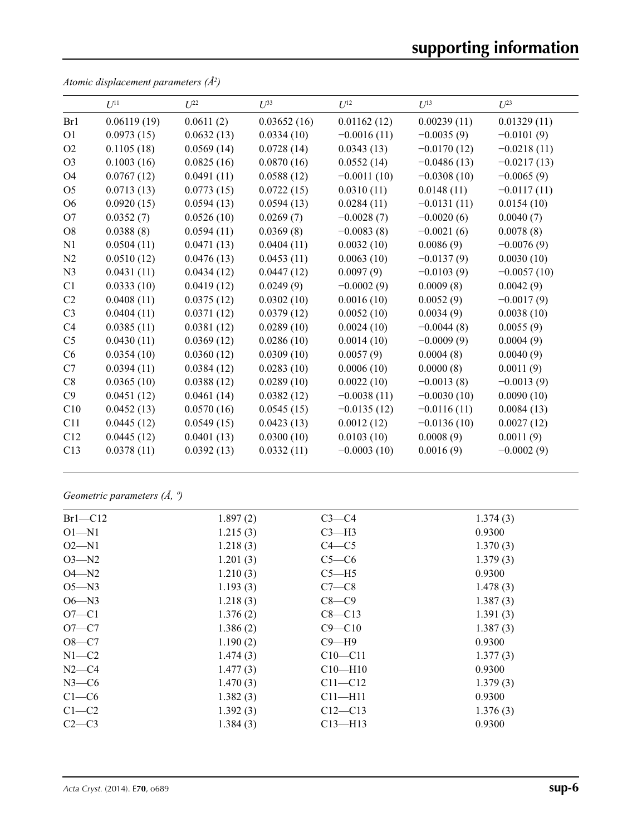|                | $U^{11}$    | $U^{22}$   | $U^{33}$    | $U^{12}$      | $U^{13}$      | $U^{23}$      |
|----------------|-------------|------------|-------------|---------------|---------------|---------------|
| Br1            | 0.06119(19) | 0.0611(2)  | 0.03652(16) | 0.01162(12)   | 0.00239(11)   | 0.01329(11)   |
| O <sub>1</sub> | 0.0973(15)  | 0.0632(13) | 0.0334(10)  | $-0.0016(11)$ | $-0.0035(9)$  | $-0.0101(9)$  |
| O2             | 0.1105(18)  | 0.0569(14) | 0.0728(14)  | 0.0343(13)    | $-0.0170(12)$ | $-0.0218(11)$ |
| O <sub>3</sub> | 0.1003(16)  | 0.0825(16) | 0.0870(16)  | 0.0552(14)    | $-0.0486(13)$ | $-0.0217(13)$ |
| O4             | 0.0767(12)  | 0.0491(11) | 0.0588(12)  | $-0.0011(10)$ | $-0.0308(10)$ | $-0.0065(9)$  |
| O <sub>5</sub> | 0.0713(13)  | 0.0773(15) | 0.0722(15)  | 0.0310(11)    | 0.0148(11)    | $-0.0117(11)$ |
| O <sub>6</sub> | 0.0920(15)  | 0.0594(13) | 0.0594(13)  | 0.0284(11)    | $-0.0131(11)$ | 0.0154(10)    |
| O7             | 0.0352(7)   | 0.0526(10) | 0.0269(7)   | $-0.0028(7)$  | $-0.0020(6)$  | 0.0040(7)     |
| O <sub>8</sub> | 0.0388(8)   | 0.0594(11) | 0.0369(8)   | $-0.0083(8)$  | $-0.0021(6)$  | 0.0078(8)     |
| N1             | 0.0504(11)  | 0.0471(13) | 0.0404(11)  | 0.0032(10)    | 0.0086(9)     | $-0.0076(9)$  |
| N2             | 0.0510(12)  | 0.0476(13) | 0.0453(11)  | 0.0063(10)    | $-0.0137(9)$  | 0.0030(10)    |
| N <sub>3</sub> | 0.0431(11)  | 0.0434(12) | 0.0447(12)  | 0.0097(9)     | $-0.0103(9)$  | $-0.0057(10)$ |
| C1             | 0.0333(10)  | 0.0419(12) | 0.0249(9)   | $-0.0002(9)$  | 0.0009(8)     | 0.0042(9)     |
| C <sub>2</sub> | 0.0408(11)  | 0.0375(12) | 0.0302(10)  | 0.0016(10)    | 0.0052(9)     | $-0.0017(9)$  |
| C <sub>3</sub> | 0.0404(11)  | 0.0371(12) | 0.0379(12)  | 0.0052(10)    | 0.0034(9)     | 0.0038(10)    |
| C <sub>4</sub> | 0.0385(11)  | 0.0381(12) | 0.0289(10)  | 0.0024(10)    | $-0.0044(8)$  | 0.0055(9)     |
| C <sub>5</sub> | 0.0430(11)  | 0.0369(12) | 0.0286(10)  | 0.0014(10)    | $-0.0009(9)$  | 0.0004(9)     |
| C6             | 0.0354(10)  | 0.0360(12) | 0.0309(10)  | 0.0057(9)     | 0.0004(8)     | 0.0040(9)     |
| C7             | 0.0394(11)  | 0.0384(12) | 0.0283(10)  | 0.0006(10)    | 0.0000(8)     | 0.0011(9)     |
| C8             | 0.0365(10)  | 0.0388(12) | 0.0289(10)  | 0.0022(10)    | $-0.0013(8)$  | $-0.0013(9)$  |
| C9             | 0.0451(12)  | 0.0461(14) | 0.0382(12)  | $-0.0038(11)$ | $-0.0030(10)$ | 0.0090(10)    |
| C10            | 0.0452(13)  | 0.0570(16) | 0.0545(15)  | $-0.0135(12)$ | $-0.0116(11)$ | 0.0084(13)    |
| C11            | 0.0445(12)  | 0.0549(15) | 0.0423(13)  | 0.0012(12)    | $-0.0136(10)$ | 0.0027(12)    |
| C12            | 0.0445(12)  | 0.0401(13) | 0.0300(10)  | 0.0103(10)    | 0.0008(9)     | 0.0011(9)     |
| C13            | 0.0378(11)  | 0.0392(13) | 0.0332(11)  | $-0.0003(10)$ | 0.0016(9)     | $-0.0002(9)$  |
|                |             |            |             |               |               |               |

*Atomic displacement parameters (Å2 )*

*Geometric parameters (Å, º)*

| $Br1-C12$ | 1.897(2) | $C3-C4$     | 1.374(3) |  |
|-----------|----------|-------------|----------|--|
| $O1 - N1$ | 1.215(3) | $C3-H3$     | 0.9300   |  |
| $O2 - N1$ | 1.218(3) | $C4 - C5$   | 1.370(3) |  |
| $O3 - N2$ | 1.201(3) | $C5-C6$     | 1.379(3) |  |
| $O4 - N2$ | 1.210(3) | $C5 - H5$   | 0.9300   |  |
| $O5 - N3$ | 1.193(3) | $C7-C8$     | 1.478(3) |  |
| $O6 - N3$ | 1.218(3) | $C8-C9$     | 1.387(3) |  |
| $O7-C1$   | 1.376(2) | $C8 - C13$  | 1.391(3) |  |
| $O7 - C7$ | 1.386(2) | $C9 - C10$  | 1.387(3) |  |
| $O8-C7$   | 1.190(2) | $C9 - H9$   | 0.9300   |  |
| $N1 - C2$ | 1.474(3) | $C10 - C11$ | 1.377(3) |  |
| $N2-C4$   | 1.477(3) | $C10 - H10$ | 0.9300   |  |
| $N3-C6$   | 1.470(3) | $C11 - C12$ | 1.379(3) |  |
| $C1-C6$   | 1.382(3) | $C11 - H11$ | 0.9300   |  |
| $C1-C2$   | 1.392(3) | $C12 - C13$ | 1.376(3) |  |
| $C2-C3$   | 1.384(3) | $C13 - H13$ | 0.9300   |  |
|           |          |             |          |  |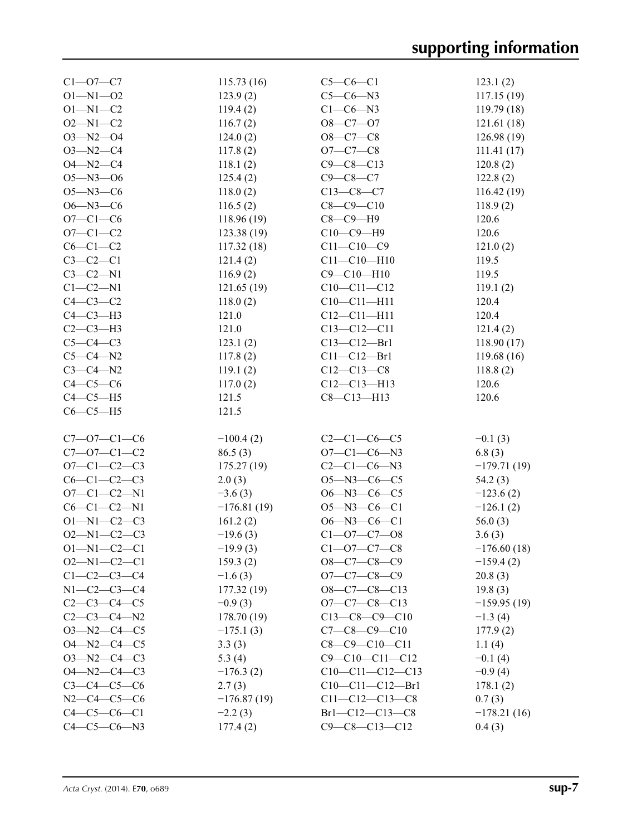| $C1 - 07 - C7$      | 115.73(16)    | $C5-C6-C1$             | 123.1(2)      |
|---------------------|---------------|------------------------|---------------|
| $O1 - N1 - O2$      | 123.9(2)      | $C5-C6-N3$             | 117.15(19)    |
| $O1 - N1 - C2$      | 119.4(2)      | $C1-C6-N3$             | 119.79(18)    |
| $O2 - N1 - C2$      | 116.7(2)      | $O8-C7-O7$             | 121.61(18)    |
|                     |               |                        |               |
| $O3 - N2 - O4$      | 124.0(2)      | $O8 - C7 - C8$         | 126.98(19)    |
| $O3 - N2 - C4$      | 117.8(2)      | $O7 - C7 - C8$         | 111.41(17)    |
| $O4 - N2 - C4$      | 118.1(2)      | $C9 - C8 - C13$        | 120.8(2)      |
| $O5 - N3 - O6$      | 125.4(2)      | $C9 - C8 - C7$         | 122.8(2)      |
| $O5 - N3 - C6$      | 118.0(2)      | $C13-C8-C7$            | 116.42(19)    |
| $O6 - N3 - C6$      | 116.5(2)      | $C8 - C9 - C10$        | 118.9(2)      |
| $O7 - C1 - C6$      | 118.96 (19)   | $C8-C9-H9$             | 120.6         |
| $O7 - C1 - C2$      | 123.38 (19)   | $C10-C9-H9$            | 120.6         |
|                     |               |                        |               |
| $C6-C1-C2$          | 117.32(18)    | $C11 - C10 - C9$       | 121.0(2)      |
| $C3-C2-C1$          | 121.4(2)      | $C11 - C10 - H10$      | 119.5         |
| $C3-C2-N1$          | 116.9(2)      | $C9 - C10 - H10$       | 119.5         |
| $C1-C2-N1$          | 121.65(19)    | $C10-C11-C12$          | 119.1(2)      |
| $C4-C3-C2$          | 118.0(2)      | $C10 - C11 - H11$      | 120.4         |
| $C4-C3-H3$          | 121.0         | $C12 - C11 - H11$      | 120.4         |
| $C2-C3-H3$          | 121.0         | $C13 - C12 - C11$      | 121.4(2)      |
| $C5-C4-C3$          | 123.1(2)      | $C13 - C12 - Br1$      | 118.90(17)    |
| $C5-C4-N2$          | 117.8(2)      | $C11 - C12 - Br1$      | 119.68 (16)   |
|                     |               |                        |               |
| $C3-C4-N2$          | 119.1(2)      | $C12-C13-C8$           | 118.8(2)      |
| $C4-C5-C6$          | 117.0(2)      | $C12 - C13 - H13$      | 120.6         |
| $C4-C5-H5$          | 121.5         | $C8 - C13 - H13$       | 120.6         |
| $C6-C5-H5$          | 121.5         |                        |               |
|                     |               |                        |               |
| $C7 - 07 - C1 - C6$ | $-100.4(2)$   | $C2-C1-C6-C5$          | $-0.1(3)$     |
|                     |               | $O7 - C1 - C6 - N3$    |               |
|                     |               |                        |               |
| $C7 - 07 - C1 - C2$ | 86.5(3)       |                        | 6.8(3)        |
| $O7 - C1 - C2 - C3$ | 175.27(19)    | $C2-C1-C6-N3$          | $-179.71(19)$ |
| $C6 - C1 - C2 - C3$ | 2.0(3)        | $O5 - N3 - C6 - C5$    | 54.2(3)       |
| $O7 - C1 - C2 - N1$ | $-3.6(3)$     | $O6 - N3 - C6 - C5$    | $-123.6(2)$   |
| $C6-C1-C2-N1$       | $-176.81(19)$ | $O5 - N3 - C6 - C1$    | $-126.1(2)$   |
| $O1 - N1 - C2 - C3$ | 161.2(2)      | $O6 - N3 - C6 - C1$    | 56.0 $(3)$    |
| $O2 - N1 - C2 - C3$ | $-19.6(3)$    | $C1 - 07 - C7 - 08$    | 3.6(3)        |
| $O1 - N1 - C2 - C1$ | $-19.9(3)$    | $C1 - 07 - C7 - C8$    | $-176.60(18)$ |
| $O2 - N1 - C2 - C1$ |               |                        |               |
|                     | 159.3(2)      | $O8-C7-C8-C9$          | $-159.4(2)$   |
| $C1-C2-C3-C4$       | $-1.6(3)$     | $O7-C7-C8-C9$          | 20.8(3)       |
| $N1 - C2 - C3 - C4$ | 177.32 (19)   | $O8-C7-C8-C13$         | 19.8(3)       |
| $C2 - C3 - C4 - C5$ | $-0.9(3)$     | $O7-C7-C8-C13$         | $-159.95(19)$ |
| $C2 - C3 - C4 - N2$ | 178.70 (19)   | $C13-C8-C9-C10$        | $-1.3(4)$     |
| $O3 - N2 - C4 - C5$ | $-175.1(3)$   | $C7-C8-C9-C10$         | 177.9(2)      |
| $O4 - N2 - C4 - C5$ | 3.3(3)        | $C8 - C9 - C10 - C11$  | 1.1(4)        |
| $O3 - N2 - C4 - C3$ | 5.3 $(4)$     | $C9 - C10 - C11 - C12$ | $-0.1(4)$     |
| $O4 - N2 - C4 - C3$ | $-176.3(2)$   | $C10-C11-C12-C13$      | $-0.9(4)$     |
| $C3 - C4 - C5 - C6$ | 2.7(3)        | $C10-C11-C12-Br1$      | 178.1(2)      |
| $N2-C4-C5-C6$       | $-176.87(19)$ | $C11-C12-C13-C8$       | 0.7(3)        |
| $C4 - C5 - C6 - C1$ | $-2.2(3)$     | Br1-C12-C13-C8         | $-178.21(16)$ |